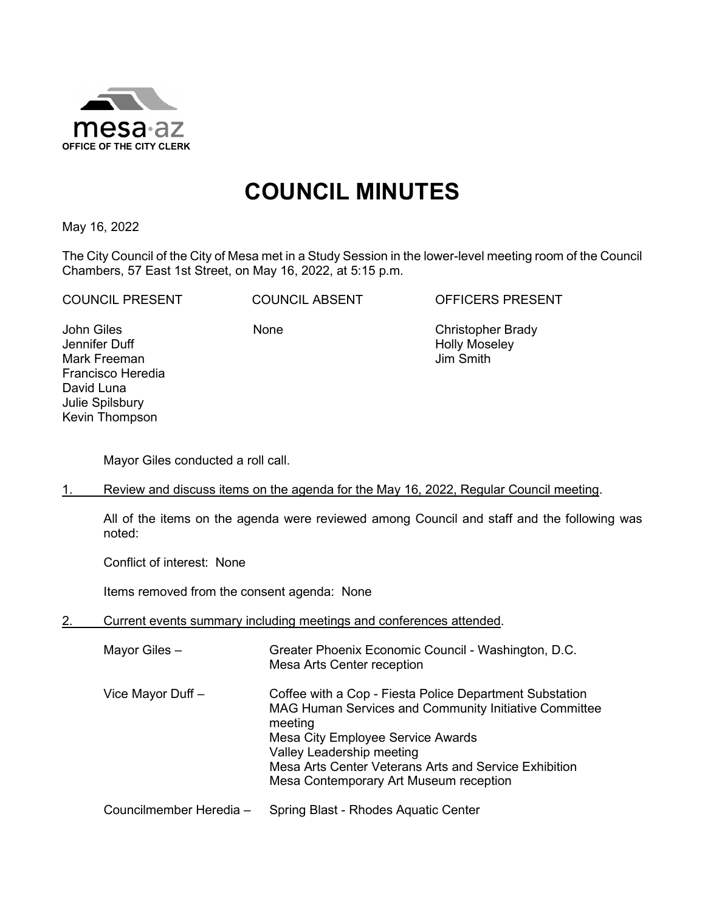

## **COUNCIL MINUTES**

May 16, 2022

The City Council of the City of Mesa met in a Study Session in the lower-level meeting room of the Council Chambers, 57 East 1st Street, on May 16, 2022, at 5:15 p.m.

COUNCIL PRESENT COUNCIL ABSENT OFFICERS PRESENT

John Giles Jennifer Duff Mark Freeman Francisco Heredia David Luna Julie Spilsbury Kevin Thompson

 None Christopher Brady Holly Moseley Jim Smith

Mayor Giles conducted a roll call.

1. Review and discuss items on the agenda for the May 16, 2022, Regular Council meeting.

All of the items on the agenda were reviewed among Council and staff and the following was noted:

Conflict of interest: None

Items removed from the consent agenda: None

2. Current events summary including meetings and conferences attended.

Mayor Giles – Greater Phoenix Economic Council - Washington, D.C. Mesa Arts Center reception Vice Mayor Duff – Coffee with a Cop - Fiesta Police Department Substation MAG Human Services and Community Initiative Committee meeting Mesa City Employee Service Awards Valley Leadership meeting Mesa Arts Center Veterans Arts and Service Exhibition Mesa Contemporary Art Museum reception

Councilmember Heredia – Spring Blast - Rhodes Aquatic Center